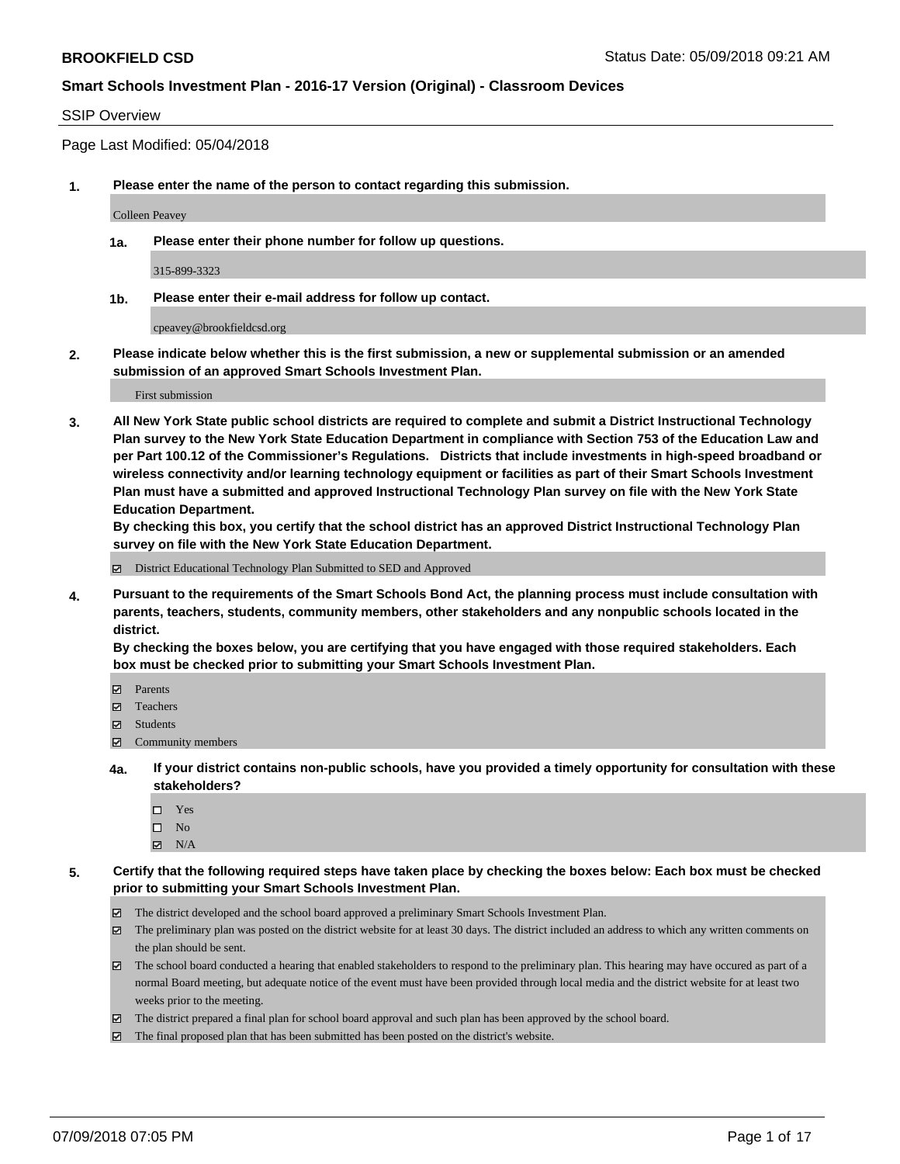#### SSIP Overview

Page Last Modified: 05/04/2018

**1. Please enter the name of the person to contact regarding this submission.**

Colleen Peavey

**1a. Please enter their phone number for follow up questions.**

315-899-3323

**1b. Please enter their e-mail address for follow up contact.**

cpeavey@brookfieldcsd.org

**2. Please indicate below whether this is the first submission, a new or supplemental submission or an amended submission of an approved Smart Schools Investment Plan.**

First submission

**3. All New York State public school districts are required to complete and submit a District Instructional Technology Plan survey to the New York State Education Department in compliance with Section 753 of the Education Law and per Part 100.12 of the Commissioner's Regulations. Districts that include investments in high-speed broadband or wireless connectivity and/or learning technology equipment or facilities as part of their Smart Schools Investment Plan must have a submitted and approved Instructional Technology Plan survey on file with the New York State Education Department.** 

**By checking this box, you certify that the school district has an approved District Instructional Technology Plan survey on file with the New York State Education Department.**

District Educational Technology Plan Submitted to SED and Approved

**4. Pursuant to the requirements of the Smart Schools Bond Act, the planning process must include consultation with parents, teachers, students, community members, other stakeholders and any nonpublic schools located in the district.** 

**By checking the boxes below, you are certifying that you have engaged with those required stakeholders. Each box must be checked prior to submitting your Smart Schools Investment Plan.**

- Parents
- Teachers
- Students
- $\Xi$  Community members
- **4a. If your district contains non-public schools, have you provided a timely opportunity for consultation with these stakeholders?**
	- Yes
	- $\square$  No
	- $\boxtimes$  N/A
- **5. Certify that the following required steps have taken place by checking the boxes below: Each box must be checked prior to submitting your Smart Schools Investment Plan.**
	- The district developed and the school board approved a preliminary Smart Schools Investment Plan.
	- $\boxtimes$  The preliminary plan was posted on the district website for at least 30 days. The district included an address to which any written comments on the plan should be sent.
	- $\boxtimes$  The school board conducted a hearing that enabled stakeholders to respond to the preliminary plan. This hearing may have occured as part of a normal Board meeting, but adequate notice of the event must have been provided through local media and the district website for at least two weeks prior to the meeting.
	- The district prepared a final plan for school board approval and such plan has been approved by the school board.
	- $\boxtimes$  The final proposed plan that has been submitted has been posted on the district's website.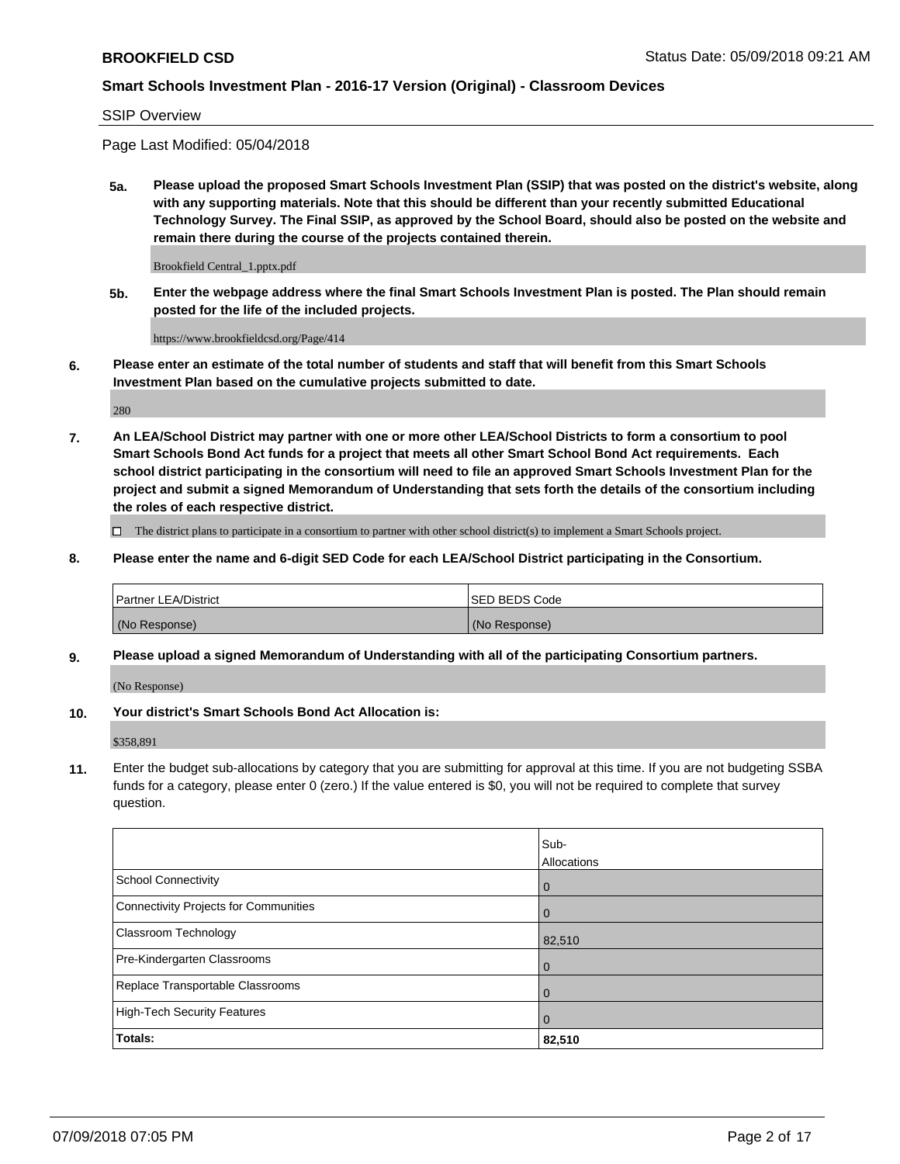SSIP Overview

Page Last Modified: 05/04/2018

**5a. Please upload the proposed Smart Schools Investment Plan (SSIP) that was posted on the district's website, along with any supporting materials. Note that this should be different than your recently submitted Educational Technology Survey. The Final SSIP, as approved by the School Board, should also be posted on the website and remain there during the course of the projects contained therein.**

Brookfield Central\_1.pptx.pdf

**5b. Enter the webpage address where the final Smart Schools Investment Plan is posted. The Plan should remain posted for the life of the included projects.**

https://www.brookfieldcsd.org/Page/414

**6. Please enter an estimate of the total number of students and staff that will benefit from this Smart Schools Investment Plan based on the cumulative projects submitted to date.**

280

**7. An LEA/School District may partner with one or more other LEA/School Districts to form a consortium to pool Smart Schools Bond Act funds for a project that meets all other Smart School Bond Act requirements. Each school district participating in the consortium will need to file an approved Smart Schools Investment Plan for the project and submit a signed Memorandum of Understanding that sets forth the details of the consortium including the roles of each respective district.**

 $\Box$  The district plans to participate in a consortium to partner with other school district(s) to implement a Smart Schools project.

**8. Please enter the name and 6-digit SED Code for each LEA/School District participating in the Consortium.**

| <b>Partner LEA/District</b> | <b>ISED BEDS Code</b> |
|-----------------------------|-----------------------|
| (No Response)               | (No Response)         |

#### **9. Please upload a signed Memorandum of Understanding with all of the participating Consortium partners.**

(No Response)

**10. Your district's Smart Schools Bond Act Allocation is:**

\$358,891

**11.** Enter the budget sub-allocations by category that you are submitting for approval at this time. If you are not budgeting SSBA funds for a category, please enter 0 (zero.) If the value entered is \$0, you will not be required to complete that survey question.

|                                       | Sub-<br>Allocations |
|---------------------------------------|---------------------|
| School Connectivity                   | $\overline{0}$      |
| Connectivity Projects for Communities | $\Omega$            |
| Classroom Technology                  | 82,510              |
| Pre-Kindergarten Classrooms           | $\mathbf 0$         |
| Replace Transportable Classrooms      | $\mathbf 0$         |
| High-Tech Security Features           | $\overline{0}$      |
| Totals:                               | 82,510              |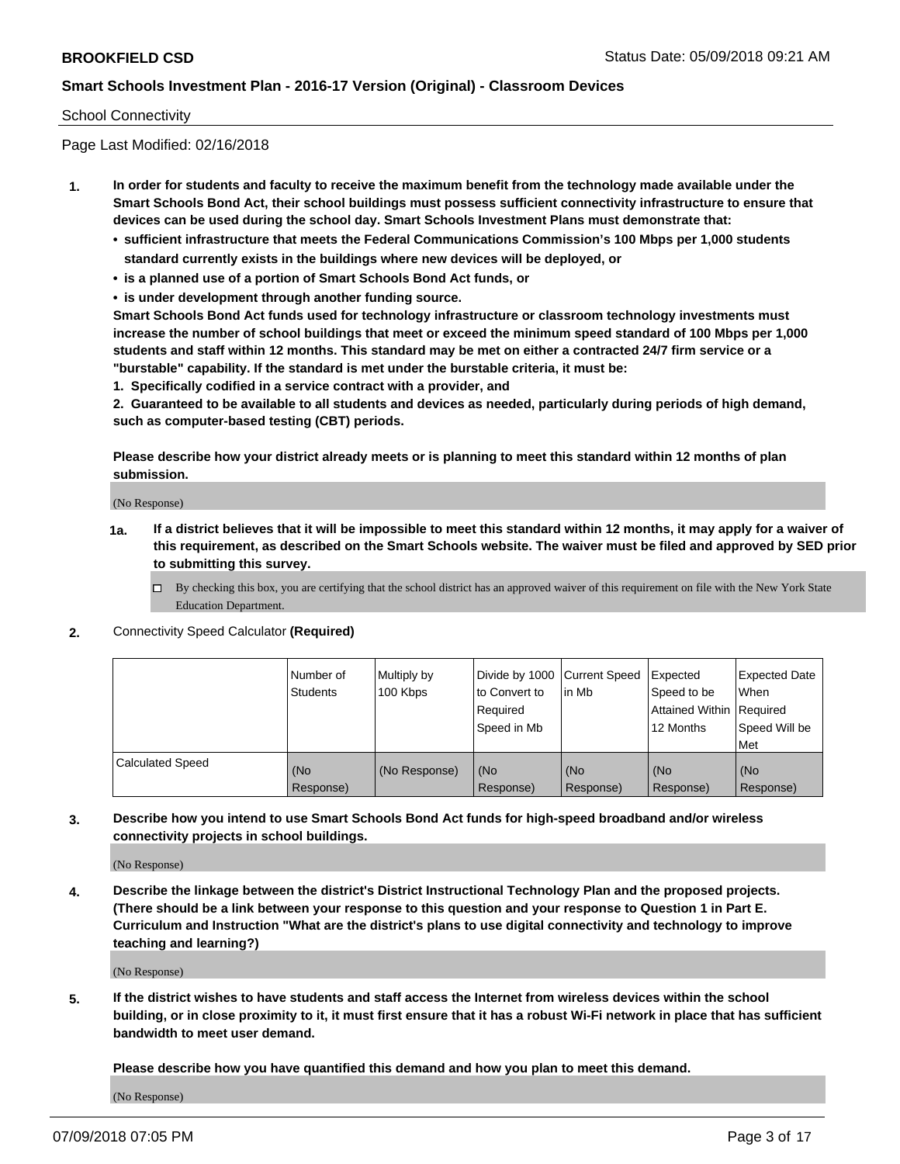#### School Connectivity

Page Last Modified: 02/16/2018

- **1. In order for students and faculty to receive the maximum benefit from the technology made available under the Smart Schools Bond Act, their school buildings must possess sufficient connectivity infrastructure to ensure that devices can be used during the school day. Smart Schools Investment Plans must demonstrate that:**
	- **• sufficient infrastructure that meets the Federal Communications Commission's 100 Mbps per 1,000 students standard currently exists in the buildings where new devices will be deployed, or**
	- **• is a planned use of a portion of Smart Schools Bond Act funds, or**
	- **• is under development through another funding source.**

**Smart Schools Bond Act funds used for technology infrastructure or classroom technology investments must increase the number of school buildings that meet or exceed the minimum speed standard of 100 Mbps per 1,000 students and staff within 12 months. This standard may be met on either a contracted 24/7 firm service or a "burstable" capability. If the standard is met under the burstable criteria, it must be:**

**1. Specifically codified in a service contract with a provider, and**

**2. Guaranteed to be available to all students and devices as needed, particularly during periods of high demand, such as computer-based testing (CBT) periods.**

**Please describe how your district already meets or is planning to meet this standard within 12 months of plan submission.**

(No Response)

- **1a. If a district believes that it will be impossible to meet this standard within 12 months, it may apply for a waiver of this requirement, as described on the Smart Schools website. The waiver must be filed and approved by SED prior to submitting this survey.**
	- By checking this box, you are certifying that the school district has an approved waiver of this requirement on file with the New York State Education Department.
- **2.** Connectivity Speed Calculator **(Required)**

|                         | l Number of<br><b>Students</b> | Multiply by<br>100 Kbps | Divide by 1000 Current Speed<br>to Convert to<br>Required<br>l Speed in Mb | lin Mb           | Expected<br>Speed to be<br>Attained Within Required<br>12 Months | <b>Expected Date</b><br><b>When</b><br>Speed Will be<br>l Met |
|-------------------------|--------------------------------|-------------------------|----------------------------------------------------------------------------|------------------|------------------------------------------------------------------|---------------------------------------------------------------|
| <b>Calculated Speed</b> | (No<br>Response)               | (No Response)           | (No<br>Response)                                                           | (No<br>Response) | (No<br>Response)                                                 | l (No<br>Response)                                            |

**3. Describe how you intend to use Smart Schools Bond Act funds for high-speed broadband and/or wireless connectivity projects in school buildings.**

(No Response)

**4. Describe the linkage between the district's District Instructional Technology Plan and the proposed projects. (There should be a link between your response to this question and your response to Question 1 in Part E. Curriculum and Instruction "What are the district's plans to use digital connectivity and technology to improve teaching and learning?)**

(No Response)

**5. If the district wishes to have students and staff access the Internet from wireless devices within the school building, or in close proximity to it, it must first ensure that it has a robust Wi-Fi network in place that has sufficient bandwidth to meet user demand.**

**Please describe how you have quantified this demand and how you plan to meet this demand.**

(No Response)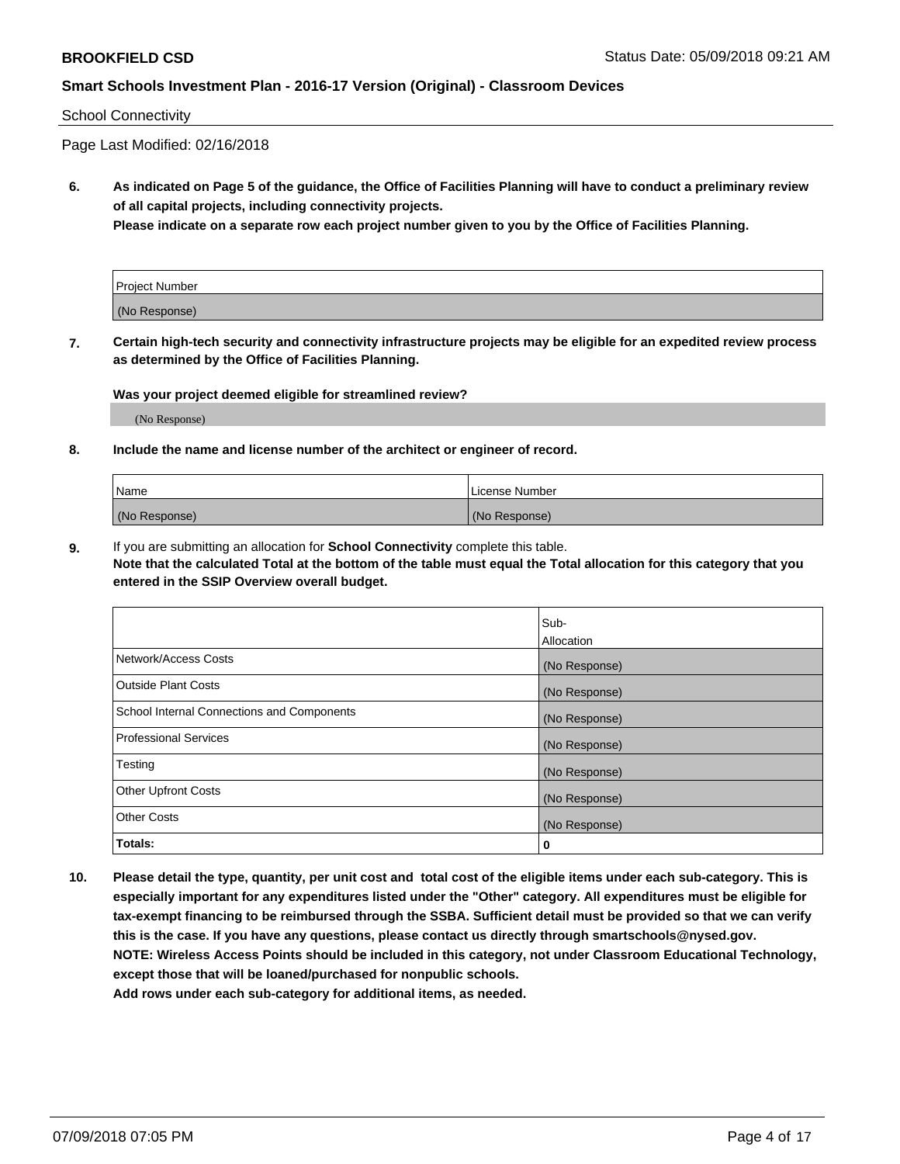#### School Connectivity

Page Last Modified: 02/16/2018

**6. As indicated on Page 5 of the guidance, the Office of Facilities Planning will have to conduct a preliminary review of all capital projects, including connectivity projects.**

**Please indicate on a separate row each project number given to you by the Office of Facilities Planning.**

| Project Number |  |
|----------------|--|
| (No Response)  |  |

**7. Certain high-tech security and connectivity infrastructure projects may be eligible for an expedited review process as determined by the Office of Facilities Planning.**

#### **Was your project deemed eligible for streamlined review?**

(No Response)

#### **8. Include the name and license number of the architect or engineer of record.**

| Name          | License Number |
|---------------|----------------|
| (No Response) | (No Response)  |

**9.** If you are submitting an allocation for **School Connectivity** complete this table.

**Note that the calculated Total at the bottom of the table must equal the Total allocation for this category that you entered in the SSIP Overview overall budget.** 

|                                            | Sub-          |
|--------------------------------------------|---------------|
|                                            | Allocation    |
| Network/Access Costs                       | (No Response) |
| Outside Plant Costs                        | (No Response) |
| School Internal Connections and Components | (No Response) |
| Professional Services                      | (No Response) |
| Testing                                    | (No Response) |
| <b>Other Upfront Costs</b>                 | (No Response) |
| <b>Other Costs</b>                         | (No Response) |
| Totals:                                    | 0             |

**10. Please detail the type, quantity, per unit cost and total cost of the eligible items under each sub-category. This is especially important for any expenditures listed under the "Other" category. All expenditures must be eligible for tax-exempt financing to be reimbursed through the SSBA. Sufficient detail must be provided so that we can verify this is the case. If you have any questions, please contact us directly through smartschools@nysed.gov. NOTE: Wireless Access Points should be included in this category, not under Classroom Educational Technology, except those that will be loaned/purchased for nonpublic schools.**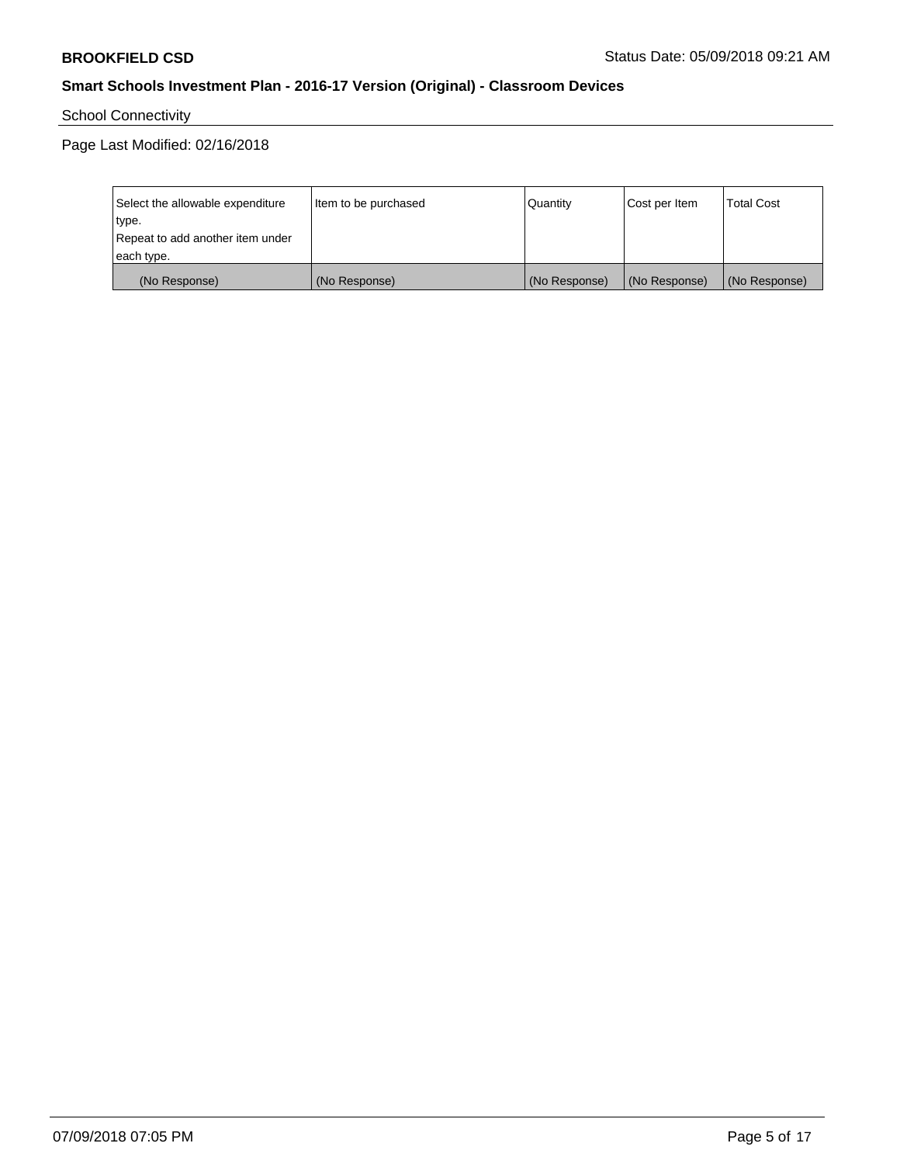School Connectivity

Page Last Modified: 02/16/2018

| Select the allowable expenditure | Item to be purchased | Quantity      | Cost per Item | <b>Total Cost</b> |
|----------------------------------|----------------------|---------------|---------------|-------------------|
| type.                            |                      |               |               |                   |
| Repeat to add another item under |                      |               |               |                   |
| each type.                       |                      |               |               |                   |
| (No Response)                    | (No Response)        | (No Response) | (No Response) | (No Response)     |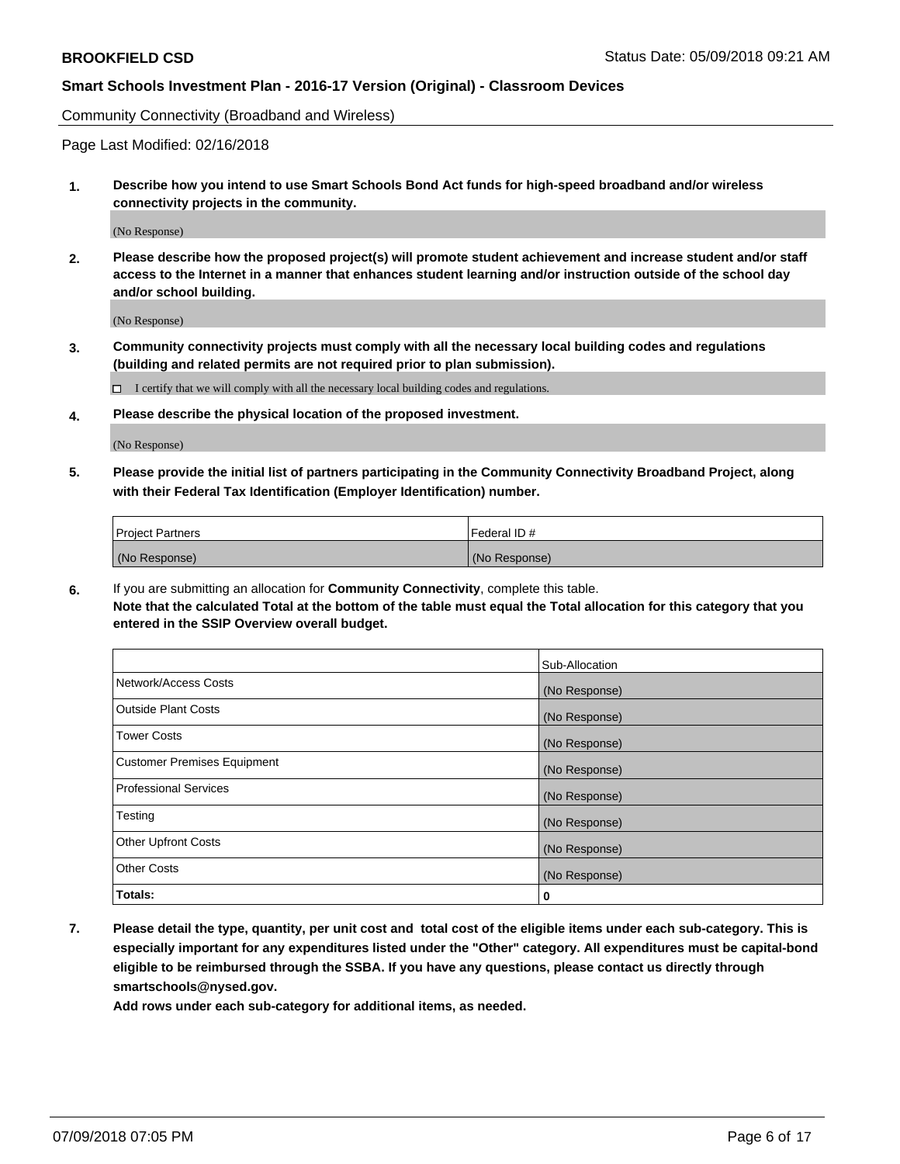Community Connectivity (Broadband and Wireless)

Page Last Modified: 02/16/2018

**1. Describe how you intend to use Smart Schools Bond Act funds for high-speed broadband and/or wireless connectivity projects in the community.**

(No Response)

**2. Please describe how the proposed project(s) will promote student achievement and increase student and/or staff access to the Internet in a manner that enhances student learning and/or instruction outside of the school day and/or school building.**

(No Response)

**3. Community connectivity projects must comply with all the necessary local building codes and regulations (building and related permits are not required prior to plan submission).**

 $\Box$  I certify that we will comply with all the necessary local building codes and regulations.

**4. Please describe the physical location of the proposed investment.**

(No Response)

**5. Please provide the initial list of partners participating in the Community Connectivity Broadband Project, along with their Federal Tax Identification (Employer Identification) number.**

| <b>Project Partners</b> | l Federal ID # |
|-------------------------|----------------|
| (No Response)           | (No Response)  |

**6.** If you are submitting an allocation for **Community Connectivity**, complete this table. **Note that the calculated Total at the bottom of the table must equal the Total allocation for this category that you entered in the SSIP Overview overall budget.**

|                                    | Sub-Allocation |
|------------------------------------|----------------|
| Network/Access Costs               | (No Response)  |
| Outside Plant Costs                | (No Response)  |
| <b>Tower Costs</b>                 | (No Response)  |
| <b>Customer Premises Equipment</b> | (No Response)  |
| Professional Services              | (No Response)  |
| Testing                            | (No Response)  |
| <b>Other Upfront Costs</b>         | (No Response)  |
| <b>Other Costs</b>                 | (No Response)  |
| Totals:                            | 0              |

**7. Please detail the type, quantity, per unit cost and total cost of the eligible items under each sub-category. This is especially important for any expenditures listed under the "Other" category. All expenditures must be capital-bond eligible to be reimbursed through the SSBA. If you have any questions, please contact us directly through smartschools@nysed.gov.**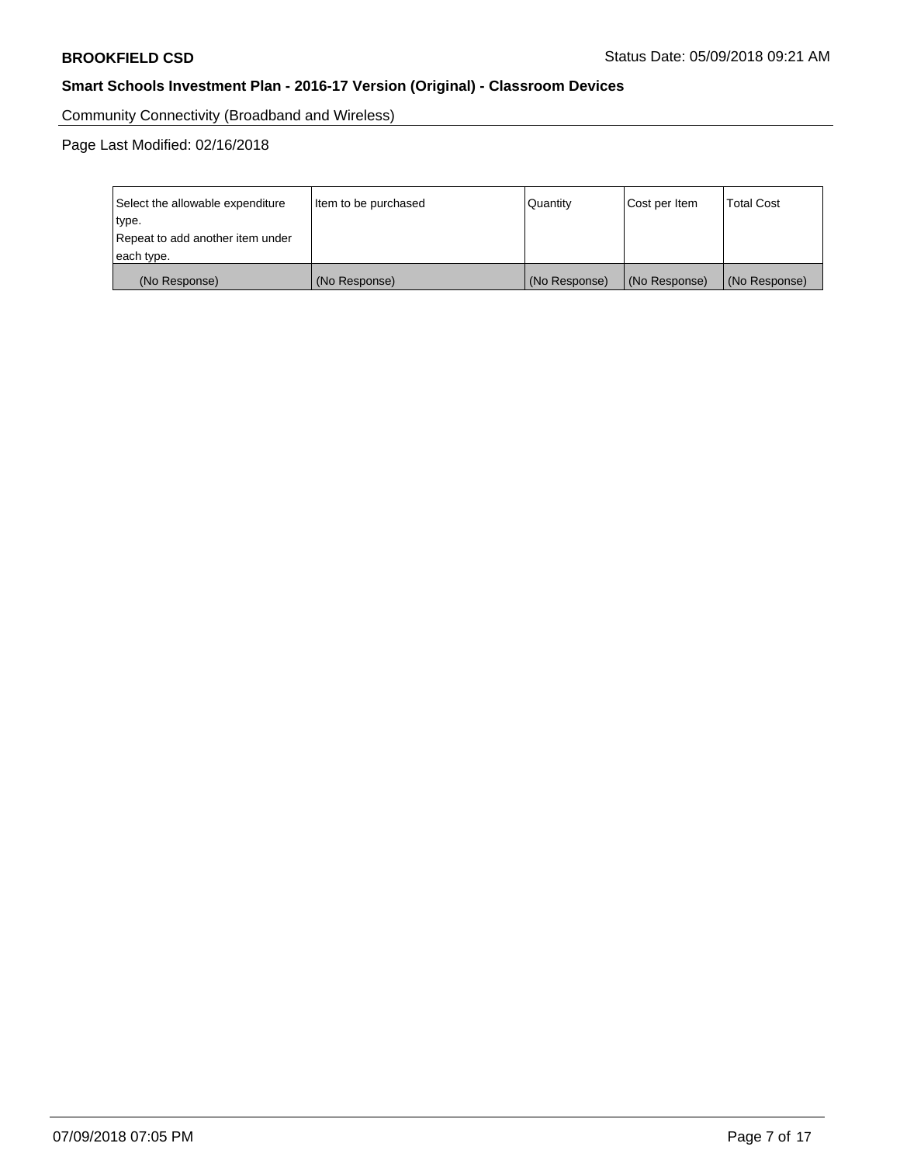Community Connectivity (Broadband and Wireless)

Page Last Modified: 02/16/2018

| Select the allowable expenditure<br>type.<br>Repeat to add another item under | Item to be purchased | Quantity      | Cost per Item | <b>Total Cost</b> |
|-------------------------------------------------------------------------------|----------------------|---------------|---------------|-------------------|
| each type.                                                                    |                      |               |               |                   |
| (No Response)                                                                 | (No Response)        | (No Response) | (No Response) | (No Response)     |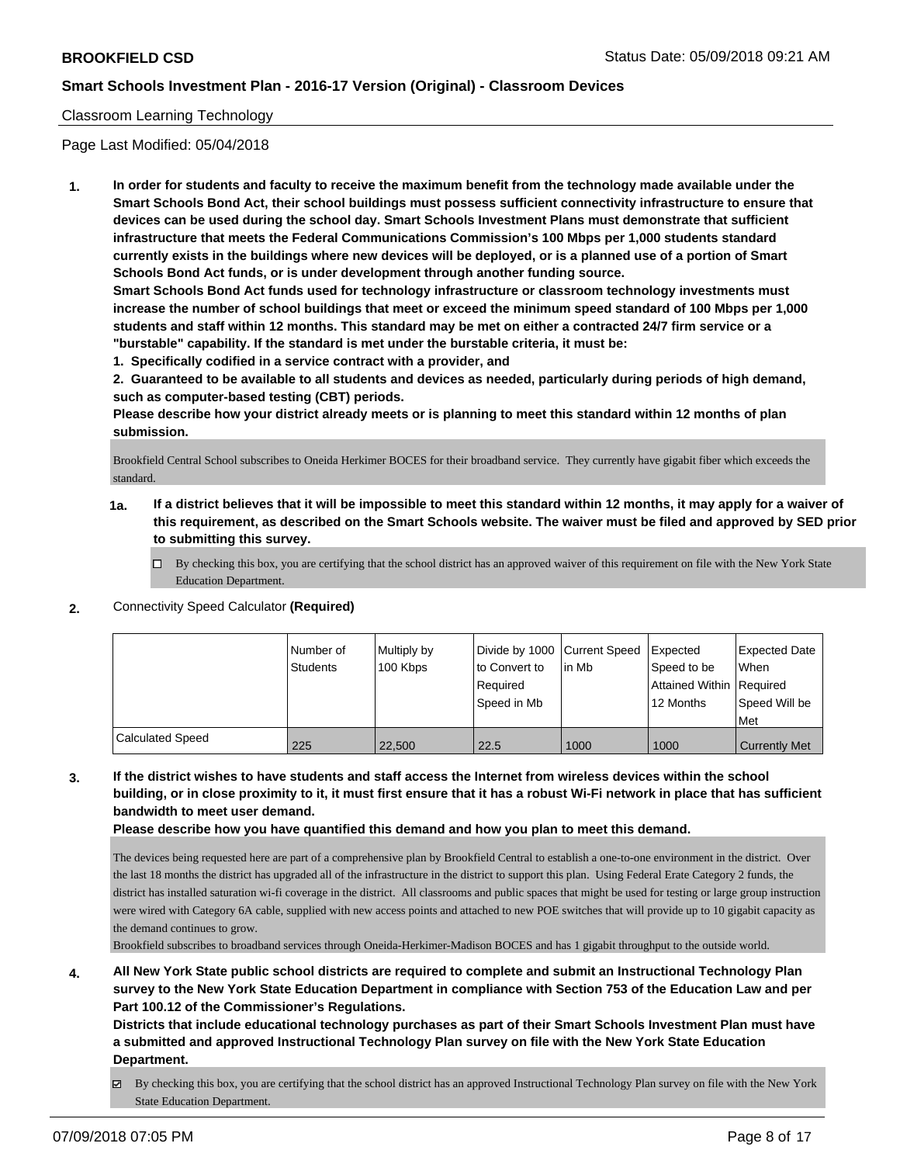### Classroom Learning Technology

Page Last Modified: 05/04/2018

**1. In order for students and faculty to receive the maximum benefit from the technology made available under the Smart Schools Bond Act, their school buildings must possess sufficient connectivity infrastructure to ensure that devices can be used during the school day. Smart Schools Investment Plans must demonstrate that sufficient infrastructure that meets the Federal Communications Commission's 100 Mbps per 1,000 students standard currently exists in the buildings where new devices will be deployed, or is a planned use of a portion of Smart Schools Bond Act funds, or is under development through another funding source.**

**Smart Schools Bond Act funds used for technology infrastructure or classroom technology investments must increase the number of school buildings that meet or exceed the minimum speed standard of 100 Mbps per 1,000 students and staff within 12 months. This standard may be met on either a contracted 24/7 firm service or a "burstable" capability. If the standard is met under the burstable criteria, it must be:**

**1. Specifically codified in a service contract with a provider, and**

**2. Guaranteed to be available to all students and devices as needed, particularly during periods of high demand, such as computer-based testing (CBT) periods.**

**Please describe how your district already meets or is planning to meet this standard within 12 months of plan submission.**

Brookfield Central School subscribes to Oneida Herkimer BOCES for their broadband service. They currently have gigabit fiber which exceeds the standard.

- **1a. If a district believes that it will be impossible to meet this standard within 12 months, it may apply for a waiver of this requirement, as described on the Smart Schools website. The waiver must be filed and approved by SED prior to submitting this survey.**
	- By checking this box, you are certifying that the school district has an approved waiver of this requirement on file with the New York State Education Department.
- **2.** Connectivity Speed Calculator **(Required)**

|                         | Number of<br><b>Students</b> | Multiply by<br>100 Kbps | Divide by 1000 Current Speed<br>to Convert to<br>l Reauired<br>Speed in Mb | lin Mb | Expected<br>Speed to be<br>Attained Within   Required<br>12 Months | Expected Date<br>When<br>Speed Will be<br>Met |
|-------------------------|------------------------------|-------------------------|----------------------------------------------------------------------------|--------|--------------------------------------------------------------------|-----------------------------------------------|
| <b>Calculated Speed</b> | 225                          | 22,500                  | 22.5                                                                       | 1000   | 1000                                                               | <b>Currently Met</b>                          |

### **3. If the district wishes to have students and staff access the Internet from wireless devices within the school building, or in close proximity to it, it must first ensure that it has a robust Wi-Fi network in place that has sufficient bandwidth to meet user demand.**

**Please describe how you have quantified this demand and how you plan to meet this demand.**

The devices being requested here are part of a comprehensive plan by Brookfield Central to establish a one-to-one environment in the district. Over the last 18 months the district has upgraded all of the infrastructure in the district to support this plan. Using Federal Erate Category 2 funds, the district has installed saturation wi-fi coverage in the district. All classrooms and public spaces that might be used for testing or large group instruction were wired with Category 6A cable, supplied with new access points and attached to new POE switches that will provide up to 10 gigabit capacity as the demand continues to grow.

Brookfield subscribes to broadband services through Oneida-Herkimer-Madison BOCES and has 1 gigabit throughput to the outside world.

**4. All New York State public school districts are required to complete and submit an Instructional Technology Plan survey to the New York State Education Department in compliance with Section 753 of the Education Law and per Part 100.12 of the Commissioner's Regulations.**

**Districts that include educational technology purchases as part of their Smart Schools Investment Plan must have a submitted and approved Instructional Technology Plan survey on file with the New York State Education Department.**

By checking this box, you are certifying that the school district has an approved Instructional Technology Plan survey on file with the New York State Education Department.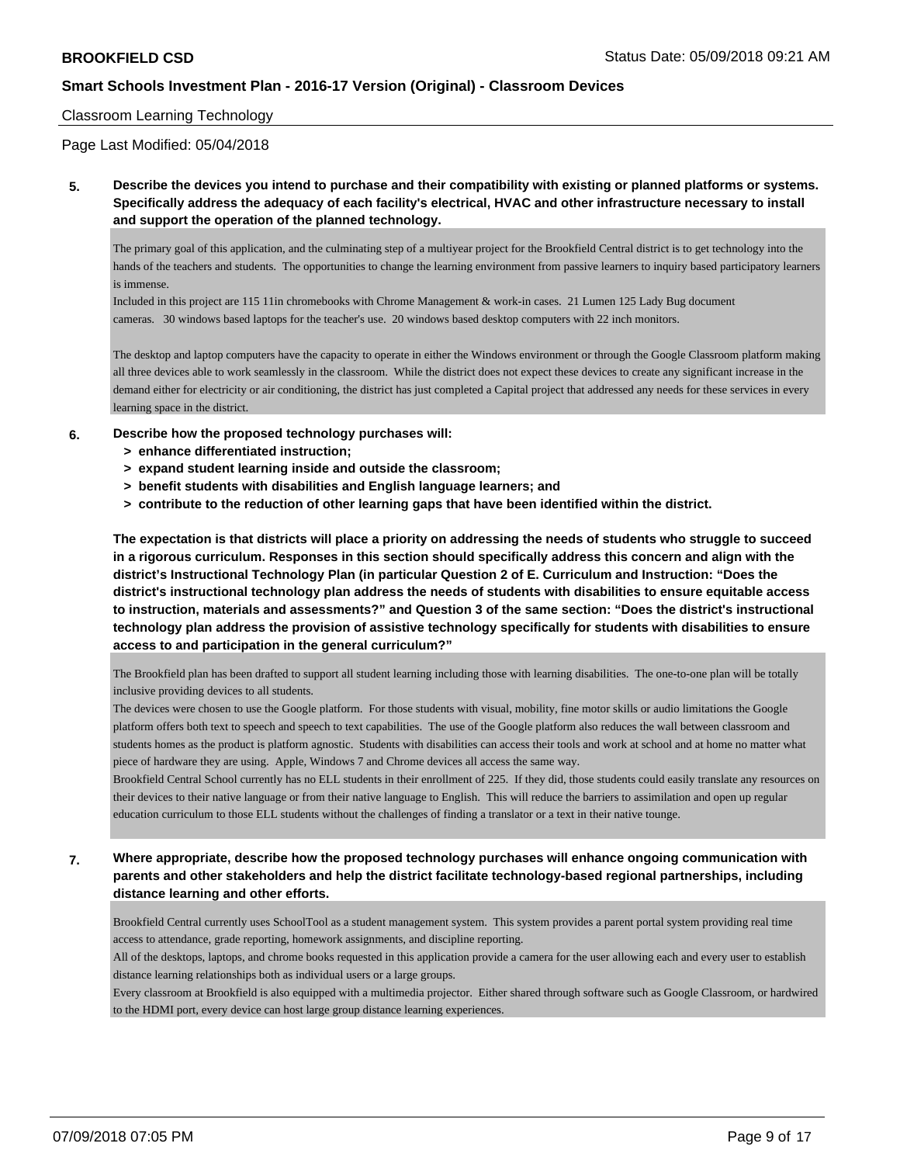#### Classroom Learning Technology

Page Last Modified: 05/04/2018

**5. Describe the devices you intend to purchase and their compatibility with existing or planned platforms or systems. Specifically address the adequacy of each facility's electrical, HVAC and other infrastructure necessary to install and support the operation of the planned technology.**

The primary goal of this application, and the culminating step of a multiyear project for the Brookfield Central district is to get technology into the hands of the teachers and students. The opportunities to change the learning environment from passive learners to inquiry based participatory learners is immense.

Included in this project are 115 11in chromebooks with Chrome Management & work-in cases. 21 Lumen 125 Lady Bug document cameras. 30 windows based laptops for the teacher's use. 20 windows based desktop computers with 22 inch monitors.

The desktop and laptop computers have the capacity to operate in either the Windows environment or through the Google Classroom platform making all three devices able to work seamlessly in the classroom. While the district does not expect these devices to create any significant increase in the demand either for electricity or air conditioning, the district has just completed a Capital project that addressed any needs for these services in every learning space in the district.

- **6. Describe how the proposed technology purchases will:**
	- **> enhance differentiated instruction;**
	- **> expand student learning inside and outside the classroom;**
	- **> benefit students with disabilities and English language learners; and**
	- **> contribute to the reduction of other learning gaps that have been identified within the district.**

**The expectation is that districts will place a priority on addressing the needs of students who struggle to succeed in a rigorous curriculum. Responses in this section should specifically address this concern and align with the district's Instructional Technology Plan (in particular Question 2 of E. Curriculum and Instruction: "Does the district's instructional technology plan address the needs of students with disabilities to ensure equitable access to instruction, materials and assessments?" and Question 3 of the same section: "Does the district's instructional technology plan address the provision of assistive technology specifically for students with disabilities to ensure access to and participation in the general curriculum?"**

The Brookfield plan has been drafted to support all student learning including those with learning disabilities. The one-to-one plan will be totally inclusive providing devices to all students.

The devices were chosen to use the Google platform. For those students with visual, mobility, fine motor skills or audio limitations the Google platform offers both text to speech and speech to text capabilities. The use of the Google platform also reduces the wall between classroom and students homes as the product is platform agnostic. Students with disabilities can access their tools and work at school and at home no matter what piece of hardware they are using. Apple, Windows 7 and Chrome devices all access the same way.

Brookfield Central School currently has no ELL students in their enrollment of 225. If they did, those students could easily translate any resources on their devices to their native language or from their native language to English. This will reduce the barriers to assimilation and open up regular education curriculum to those ELL students without the challenges of finding a translator or a text in their native tounge.

**7. Where appropriate, describe how the proposed technology purchases will enhance ongoing communication with parents and other stakeholders and help the district facilitate technology-based regional partnerships, including distance learning and other efforts.**

Brookfield Central currently uses SchoolTool as a student management system. This system provides a parent portal system providing real time access to attendance, grade reporting, homework assignments, and discipline reporting.

All of the desktops, laptops, and chrome books requested in this application provide a camera for the user allowing each and every user to establish distance learning relationships both as individual users or a large groups.

Every classroom at Brookfield is also equipped with a multimedia projector. Either shared through software such as Google Classroom, or hardwired to the HDMI port, every device can host large group distance learning experiences.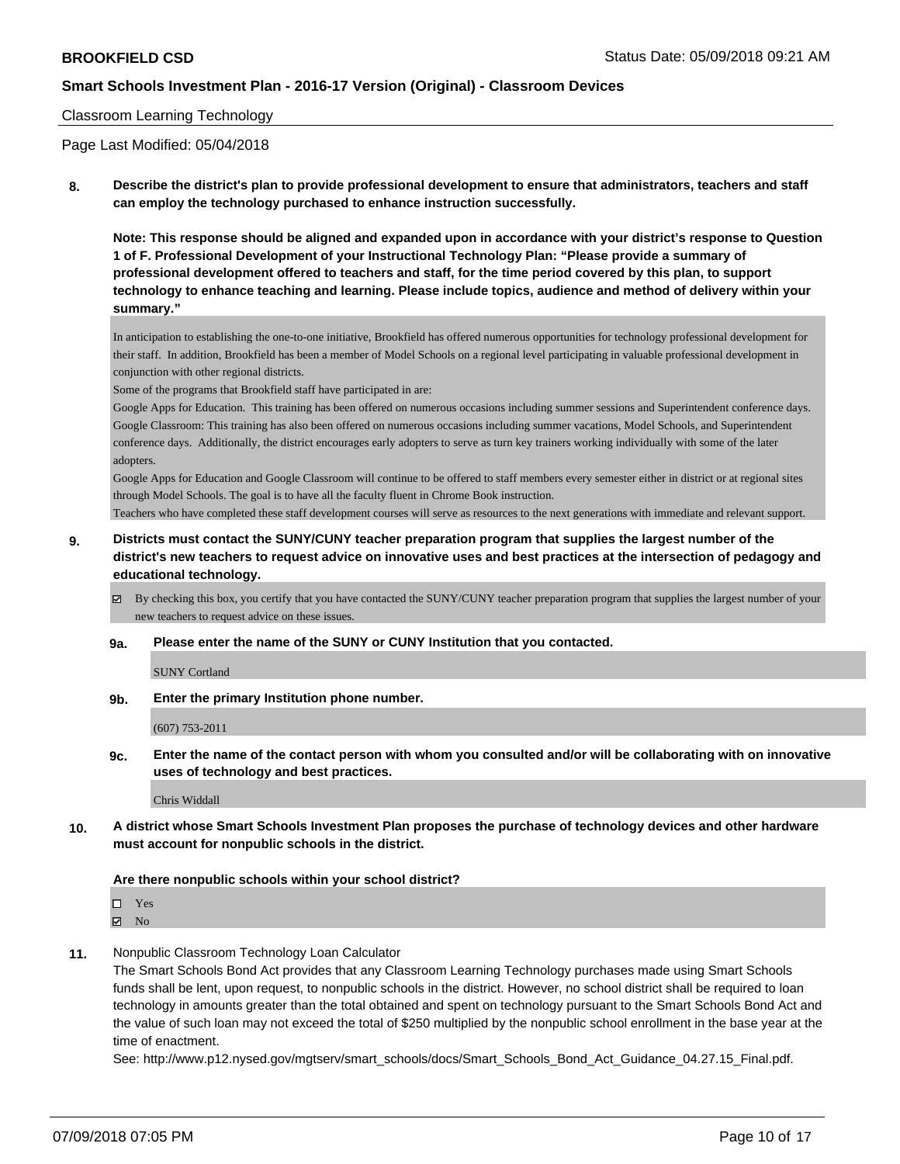#### Classroom Learning Technology

Page Last Modified: 05/04/2018

**8. Describe the district's plan to provide professional development to ensure that administrators, teachers and staff can employ the technology purchased to enhance instruction successfully.**

**Note: This response should be aligned and expanded upon in accordance with your district's response to Question 1 of F. Professional Development of your Instructional Technology Plan: "Please provide a summary of professional development offered to teachers and staff, for the time period covered by this plan, to support technology to enhance teaching and learning. Please include topics, audience and method of delivery within your summary."**

In anticipation to establishing the one-to-one initiative, Brookfield has offered numerous opportunities for technology professional development for their staff. In addition, Brookfield has been a member of Model Schools on a regional level participating in valuable professional development in conjunction with other regional districts.

Some of the programs that Brookfield staff have participated in are:

Google Apps for Education. This training has been offered on numerous occasions including summer sessions and Superintendent conference days. Google Classroom: This training has also been offered on numerous occasions including summer vacations, Model Schools, and Superintendent conference days. Additionally, the district encourages early adopters to serve as turn key trainers working individually with some of the later adopters.

Google Apps for Education and Google Classroom will continue to be offered to staff members every semester either in district or at regional sites through Model Schools. The goal is to have all the faculty fluent in Chrome Book instruction.

Teachers who have completed these staff development courses will serve as resources to the next generations with immediate and relevant support.

**9. Districts must contact the SUNY/CUNY teacher preparation program that supplies the largest number of the district's new teachers to request advice on innovative uses and best practices at the intersection of pedagogy and educational technology.**

By checking this box, you certify that you have contacted the SUNY/CUNY teacher preparation program that supplies the largest number of your new teachers to request advice on these issues.

#### **9a. Please enter the name of the SUNY or CUNY Institution that you contacted.**

SUNY Cortland

**9b. Enter the primary Institution phone number.**

(607) 753-2011

**9c. Enter the name of the contact person with whom you consulted and/or will be collaborating with on innovative uses of technology and best practices.**

Chris Widdall

**10. A district whose Smart Schools Investment Plan proposes the purchase of technology devices and other hardware must account for nonpublic schools in the district.**

#### **Are there nonpublic schools within your school district?**

Yes

 $\boxtimes$  No

**11.** Nonpublic Classroom Technology Loan Calculator

The Smart Schools Bond Act provides that any Classroom Learning Technology purchases made using Smart Schools funds shall be lent, upon request, to nonpublic schools in the district. However, no school district shall be required to loan technology in amounts greater than the total obtained and spent on technology pursuant to the Smart Schools Bond Act and the value of such loan may not exceed the total of \$250 multiplied by the nonpublic school enrollment in the base year at the time of enactment.

See: http://www.p12.nysed.gov/mgtserv/smart\_schools/docs/Smart\_Schools\_Bond\_Act\_Guidance\_04.27.15\_Final.pdf.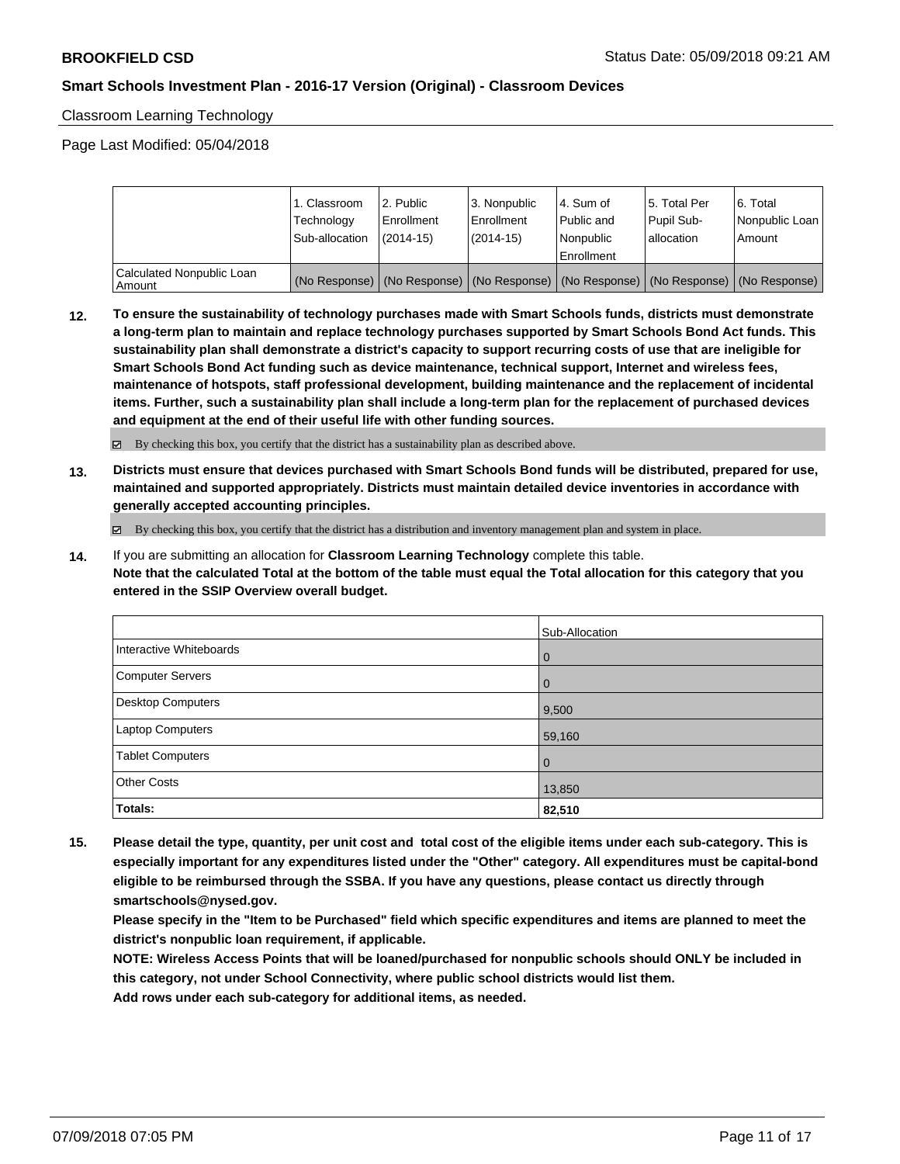Classroom Learning Technology

Page Last Modified: 05/04/2018

|                                       | 1. Classroom<br>Technology<br>Sub-allocation | 2. Public<br>l Enrollment<br>$(2014 - 15)$ | l 3. Nonpublic<br>l Enrollment<br>$(2014 - 15)$ | l 4. Sum of<br>Public and<br>l Nonpublic<br>Enrollment | 15. Total Per<br>Pupil Sub-<br>allocation | l 6. Total<br>Nonpublic Loan<br>l Amount                                                      |
|---------------------------------------|----------------------------------------------|--------------------------------------------|-------------------------------------------------|--------------------------------------------------------|-------------------------------------------|-----------------------------------------------------------------------------------------------|
| Calculated Nonpublic Loan<br>l Amount |                                              |                                            |                                                 |                                                        |                                           | (No Response)   (No Response)   (No Response)   (No Response)   (No Response)   (No Response) |

**12. To ensure the sustainability of technology purchases made with Smart Schools funds, districts must demonstrate a long-term plan to maintain and replace technology purchases supported by Smart Schools Bond Act funds. This sustainability plan shall demonstrate a district's capacity to support recurring costs of use that are ineligible for Smart Schools Bond Act funding such as device maintenance, technical support, Internet and wireless fees, maintenance of hotspots, staff professional development, building maintenance and the replacement of incidental items. Further, such a sustainability plan shall include a long-term plan for the replacement of purchased devices and equipment at the end of their useful life with other funding sources.**

By checking this box, you certify that the district has a sustainability plan as described above.

**13. Districts must ensure that devices purchased with Smart Schools Bond funds will be distributed, prepared for use, maintained and supported appropriately. Districts must maintain detailed device inventories in accordance with generally accepted accounting principles.**

By checking this box, you certify that the district has a distribution and inventory management plan and system in place.

**14.** If you are submitting an allocation for **Classroom Learning Technology** complete this table. **Note that the calculated Total at the bottom of the table must equal the Total allocation for this category that you entered in the SSIP Overview overall budget.**

|                          | Sub-Allocation |
|--------------------------|----------------|
| Interactive Whiteboards  | l 0            |
| Computer Servers         | l 0            |
| <b>Desktop Computers</b> | 9,500          |
| <b>Laptop Computers</b>  | 59,160         |
| <b>Tablet Computers</b>  | l 0            |
| <b>Other Costs</b>       | 13,850         |
| Totals:                  | 82,510         |

**15. Please detail the type, quantity, per unit cost and total cost of the eligible items under each sub-category. This is especially important for any expenditures listed under the "Other" category. All expenditures must be capital-bond eligible to be reimbursed through the SSBA. If you have any questions, please contact us directly through smartschools@nysed.gov.**

**Please specify in the "Item to be Purchased" field which specific expenditures and items are planned to meet the district's nonpublic loan requirement, if applicable.**

**NOTE: Wireless Access Points that will be loaned/purchased for nonpublic schools should ONLY be included in this category, not under School Connectivity, where public school districts would list them.**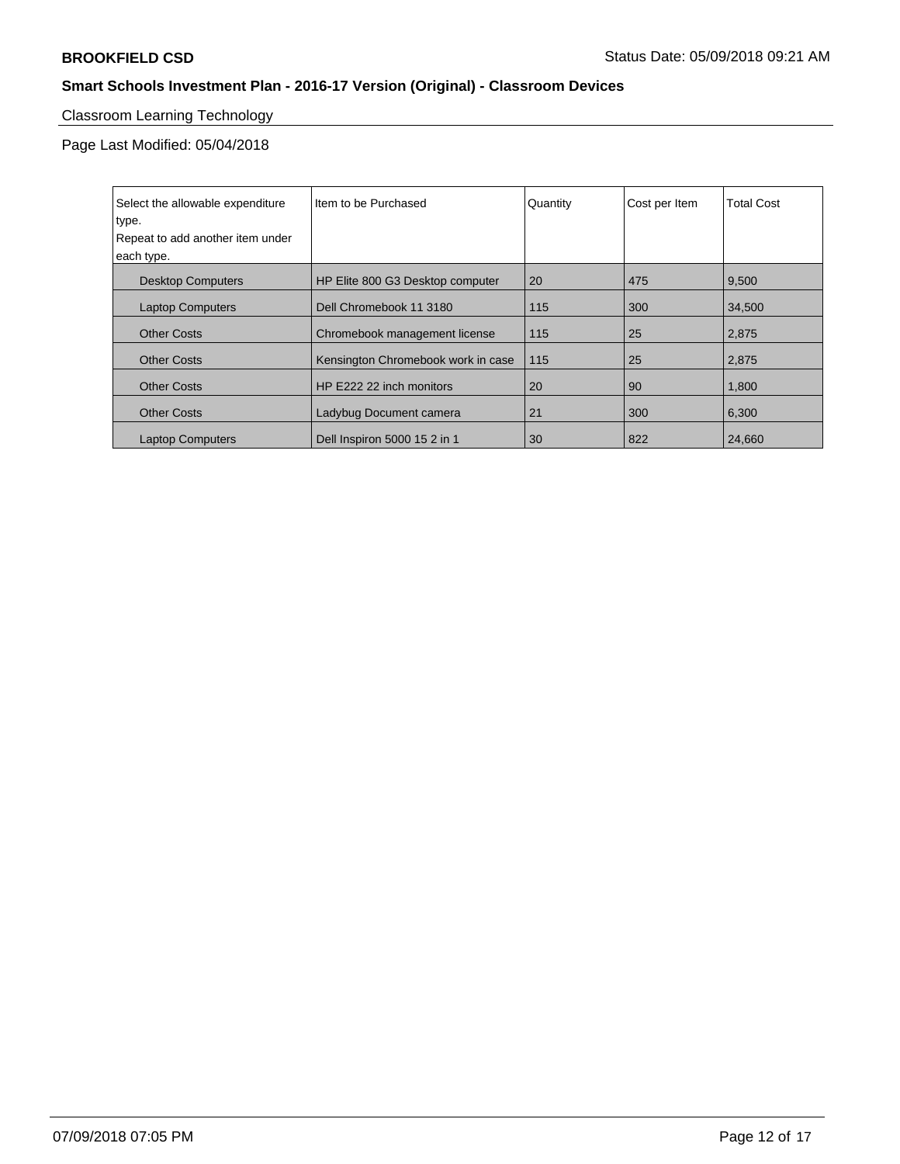# Classroom Learning Technology

Page Last Modified: 05/04/2018

| Select the allowable expenditure<br>type.<br>Repeat to add another item under<br>each type. | Iltem to be Purchased              | Quantity | Cost per Item | <b>Total Cost</b> |
|---------------------------------------------------------------------------------------------|------------------------------------|----------|---------------|-------------------|
| <b>Desktop Computers</b>                                                                    | HP Elite 800 G3 Desktop computer   | 20       | 475           | 9,500             |
| <b>Laptop Computers</b>                                                                     | Dell Chromebook 11 3180            | 115      | 300           | 34,500            |
| <b>Other Costs</b>                                                                          | Chromebook management license      | 115      | 25            | 2,875             |
| <b>Other Costs</b>                                                                          | Kensington Chromebook work in case | 115      | 25            | 2,875             |
| <b>Other Costs</b>                                                                          | HP E222 22 inch monitors           | 20       | 90            | 1,800             |
| <b>Other Costs</b>                                                                          | Ladybug Document camera            | 21       | 300           | 6,300             |
| <b>Laptop Computers</b>                                                                     | Dell Inspiron 5000 15 2 in 1       | 30       | 822           | 24,660            |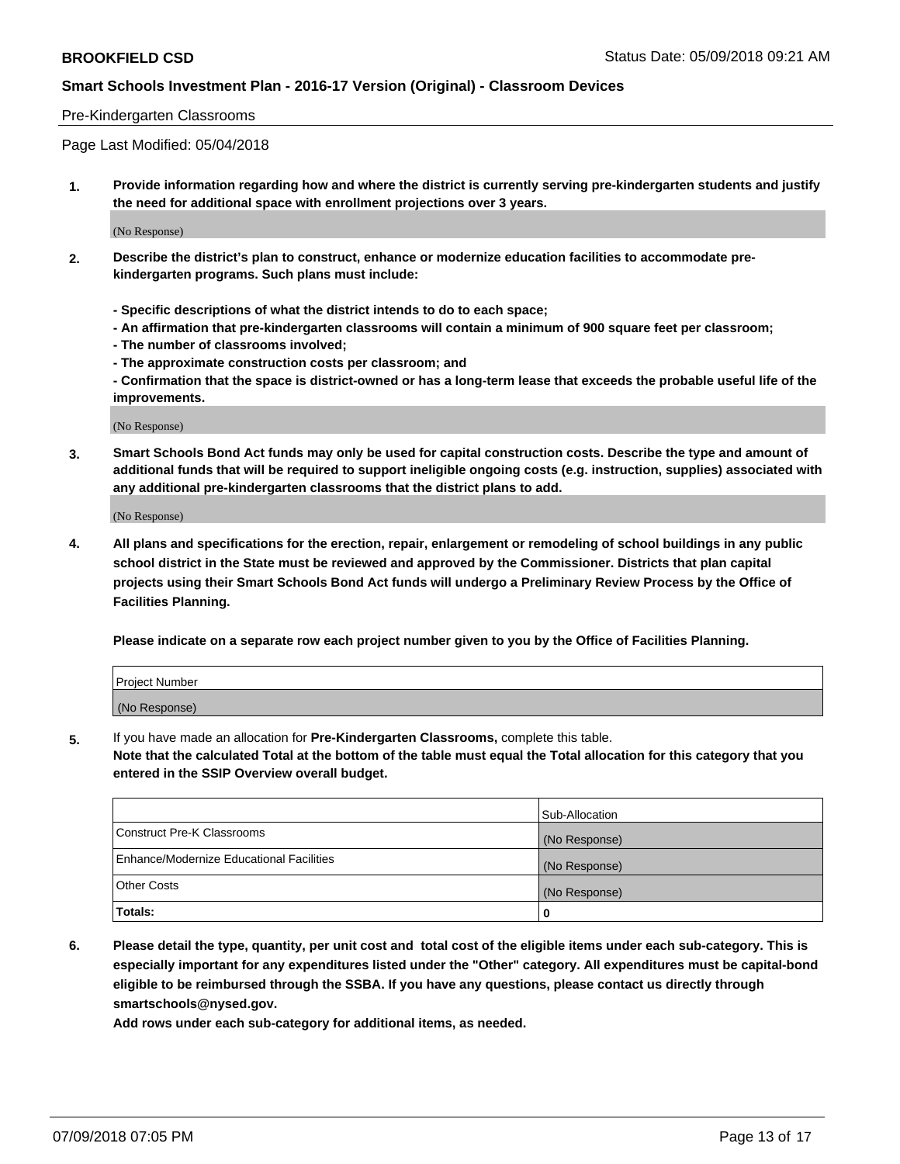#### Pre-Kindergarten Classrooms

Page Last Modified: 05/04/2018

**1. Provide information regarding how and where the district is currently serving pre-kindergarten students and justify the need for additional space with enrollment projections over 3 years.**

(No Response)

- **2. Describe the district's plan to construct, enhance or modernize education facilities to accommodate prekindergarten programs. Such plans must include:**
	- **Specific descriptions of what the district intends to do to each space;**
	- **An affirmation that pre-kindergarten classrooms will contain a minimum of 900 square feet per classroom;**
	- **The number of classrooms involved;**
	- **The approximate construction costs per classroom; and**
	- **Confirmation that the space is district-owned or has a long-term lease that exceeds the probable useful life of the improvements.**

(No Response)

**3. Smart Schools Bond Act funds may only be used for capital construction costs. Describe the type and amount of additional funds that will be required to support ineligible ongoing costs (e.g. instruction, supplies) associated with any additional pre-kindergarten classrooms that the district plans to add.**

(No Response)

**4. All plans and specifications for the erection, repair, enlargement or remodeling of school buildings in any public school district in the State must be reviewed and approved by the Commissioner. Districts that plan capital projects using their Smart Schools Bond Act funds will undergo a Preliminary Review Process by the Office of Facilities Planning.**

**Please indicate on a separate row each project number given to you by the Office of Facilities Planning.**

| <b>Project Number</b> |  |
|-----------------------|--|
| (No Response)         |  |

**5.** If you have made an allocation for **Pre-Kindergarten Classrooms,** complete this table.

**Note that the calculated Total at the bottom of the table must equal the Total allocation for this category that you entered in the SSIP Overview overall budget.**

|                                          | Sub-Allocation |
|------------------------------------------|----------------|
| Construct Pre-K Classrooms               | (No Response)  |
| Enhance/Modernize Educational Facilities | (No Response)  |
| Other Costs                              | (No Response)  |
| Totals:                                  | 0              |

**6. Please detail the type, quantity, per unit cost and total cost of the eligible items under each sub-category. This is especially important for any expenditures listed under the "Other" category. All expenditures must be capital-bond eligible to be reimbursed through the SSBA. If you have any questions, please contact us directly through smartschools@nysed.gov.**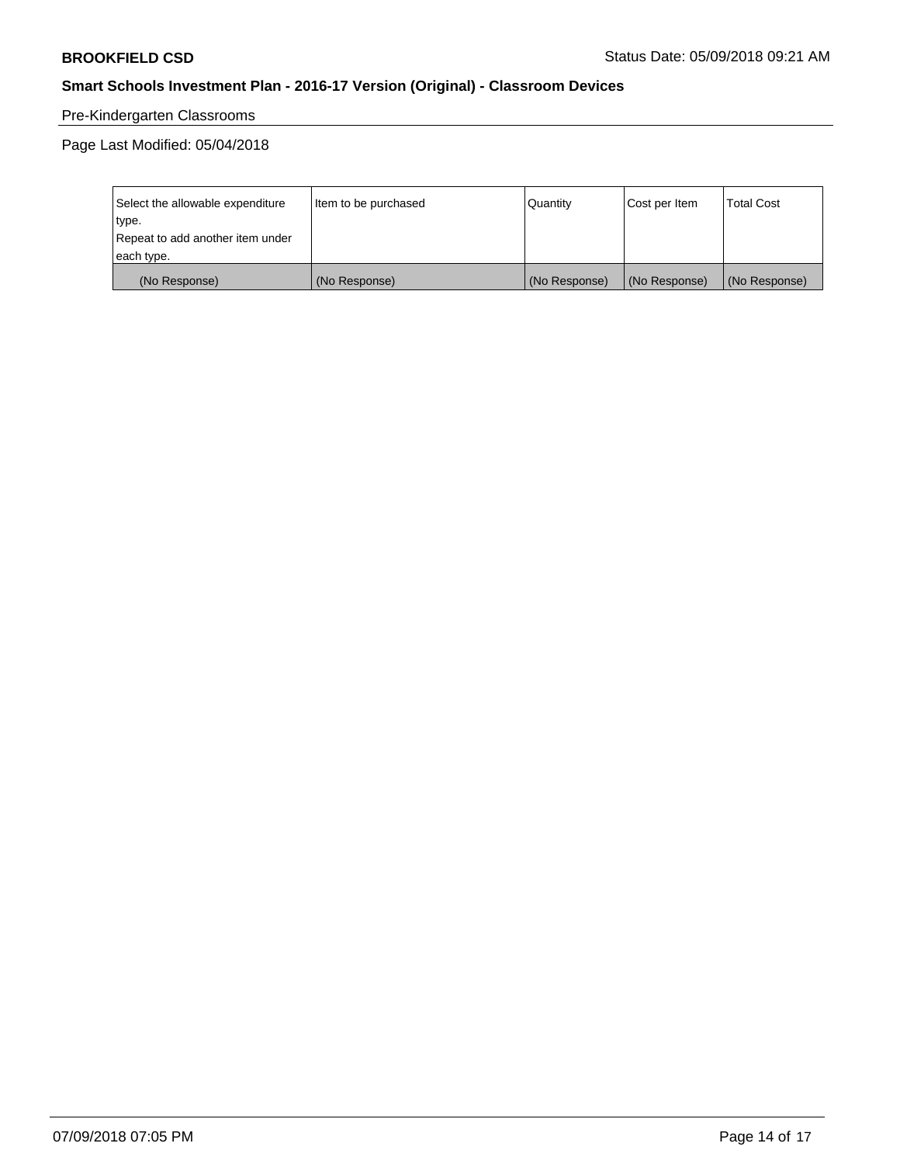# Pre-Kindergarten Classrooms

Page Last Modified: 05/04/2018

| Select the allowable expenditure | Item to be purchased | Quantity      | Cost per Item | <b>Total Cost</b> |
|----------------------------------|----------------------|---------------|---------------|-------------------|
| type.                            |                      |               |               |                   |
| Repeat to add another item under |                      |               |               |                   |
| each type.                       |                      |               |               |                   |
| (No Response)                    | (No Response)        | (No Response) | (No Response) | (No Response)     |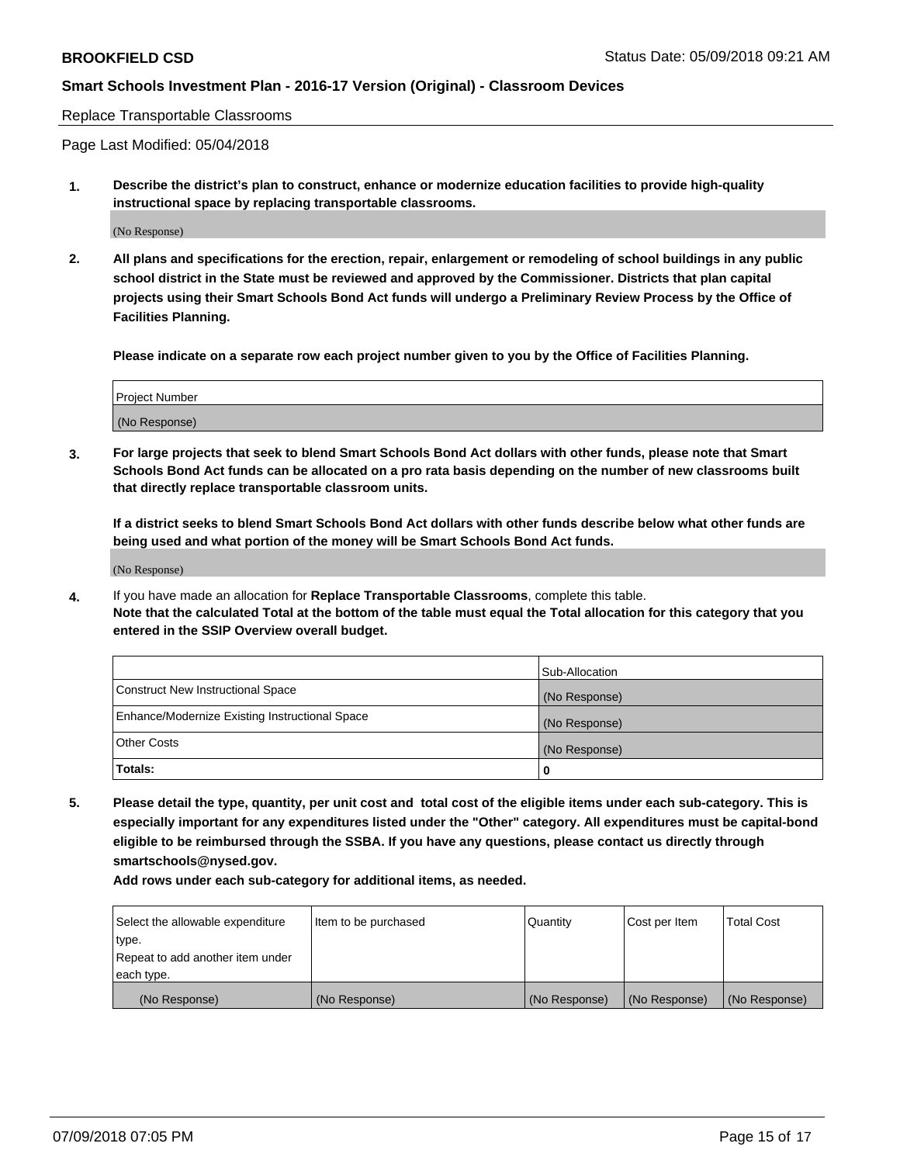#### Replace Transportable Classrooms

Page Last Modified: 05/04/2018

**1. Describe the district's plan to construct, enhance or modernize education facilities to provide high-quality instructional space by replacing transportable classrooms.**

(No Response)

**2. All plans and specifications for the erection, repair, enlargement or remodeling of school buildings in any public school district in the State must be reviewed and approved by the Commissioner. Districts that plan capital projects using their Smart Schools Bond Act funds will undergo a Preliminary Review Process by the Office of Facilities Planning.**

**Please indicate on a separate row each project number given to you by the Office of Facilities Planning.**

| <b>Project Number</b> |  |
|-----------------------|--|
| (No Response)         |  |
|                       |  |

**3. For large projects that seek to blend Smart Schools Bond Act dollars with other funds, please note that Smart Schools Bond Act funds can be allocated on a pro rata basis depending on the number of new classrooms built that directly replace transportable classroom units.**

**If a district seeks to blend Smart Schools Bond Act dollars with other funds describe below what other funds are being used and what portion of the money will be Smart Schools Bond Act funds.**

(No Response)

**4.** If you have made an allocation for **Replace Transportable Classrooms**, complete this table. **Note that the calculated Total at the bottom of the table must equal the Total allocation for this category that you entered in the SSIP Overview overall budget.**

|                                                | Sub-Allocation |
|------------------------------------------------|----------------|
| Construct New Instructional Space              | (No Response)  |
| Enhance/Modernize Existing Instructional Space | (No Response)  |
| Other Costs                                    | (No Response)  |
| Totals:                                        | 0              |

**5. Please detail the type, quantity, per unit cost and total cost of the eligible items under each sub-category. This is especially important for any expenditures listed under the "Other" category. All expenditures must be capital-bond eligible to be reimbursed through the SSBA. If you have any questions, please contact us directly through smartschools@nysed.gov.**

| Select the allowable expenditure | Item to be purchased | Quantity      | Cost per Item | <b>Total Cost</b> |
|----------------------------------|----------------------|---------------|---------------|-------------------|
| type.                            |                      |               |               |                   |
| Repeat to add another item under |                      |               |               |                   |
| each type.                       |                      |               |               |                   |
| (No Response)                    | (No Response)        | (No Response) | (No Response) | (No Response)     |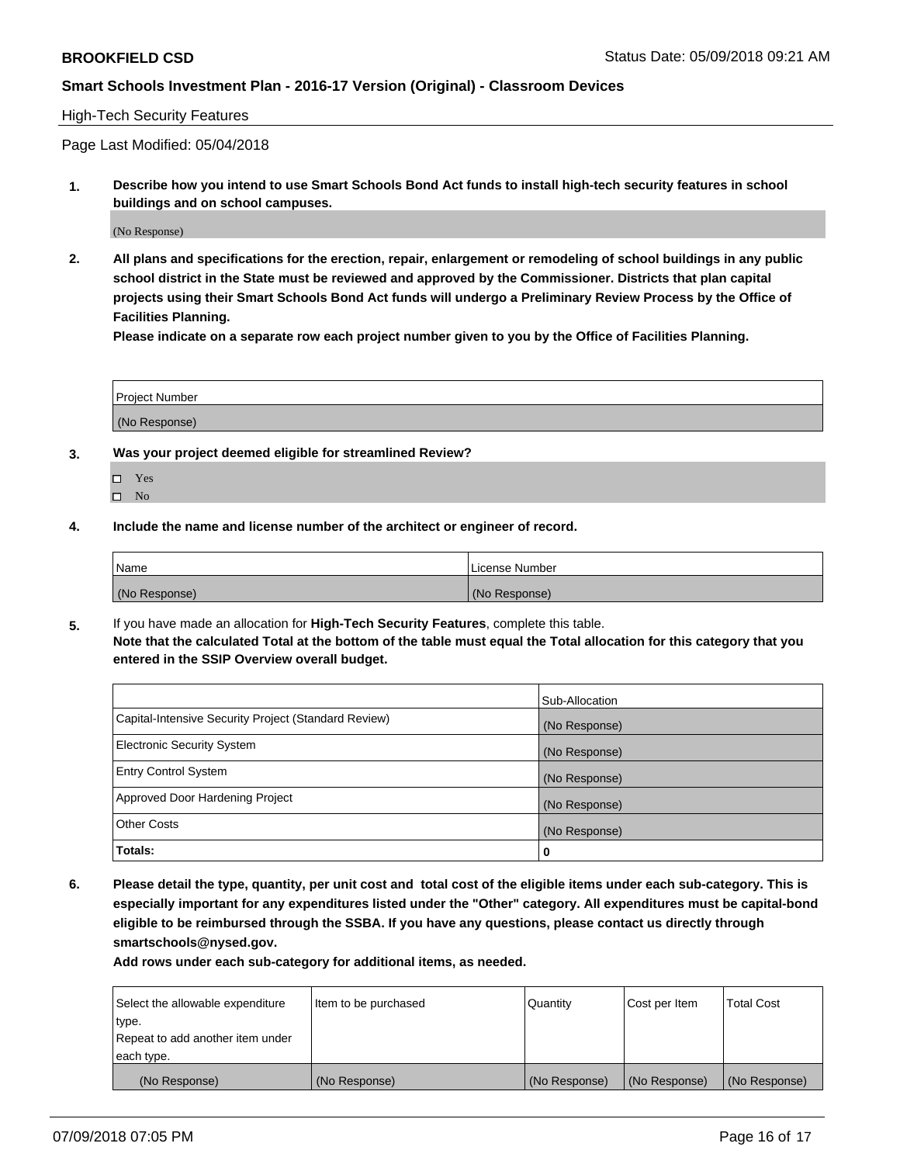#### High-Tech Security Features

Page Last Modified: 05/04/2018

**1. Describe how you intend to use Smart Schools Bond Act funds to install high-tech security features in school buildings and on school campuses.**

(No Response)

**2. All plans and specifications for the erection, repair, enlargement or remodeling of school buildings in any public school district in the State must be reviewed and approved by the Commissioner. Districts that plan capital projects using their Smart Schools Bond Act funds will undergo a Preliminary Review Process by the Office of Facilities Planning.** 

**Please indicate on a separate row each project number given to you by the Office of Facilities Planning.**

| <b>Project Number</b> |  |  |
|-----------------------|--|--|
|                       |  |  |
| (No Response)         |  |  |

- **3. Was your project deemed eligible for streamlined Review?**
	- Yes  $\square$  No
- **4. Include the name and license number of the architect or engineer of record.**

| Name          | License Number |
|---------------|----------------|
| (No Response) | (No Response)  |

**5.** If you have made an allocation for **High-Tech Security Features**, complete this table. **Note that the calculated Total at the bottom of the table must equal the Total allocation for this category that you entered in the SSIP Overview overall budget.**

|                                                      | Sub-Allocation |
|------------------------------------------------------|----------------|
| Capital-Intensive Security Project (Standard Review) | (No Response)  |
| <b>Electronic Security System</b>                    | (No Response)  |
| <b>Entry Control System</b>                          | (No Response)  |
| Approved Door Hardening Project                      | (No Response)  |
| <b>Other Costs</b>                                   | (No Response)  |
| Totals:                                              | 0              |

**6. Please detail the type, quantity, per unit cost and total cost of the eligible items under each sub-category. This is especially important for any expenditures listed under the "Other" category. All expenditures must be capital-bond eligible to be reimbursed through the SSBA. If you have any questions, please contact us directly through smartschools@nysed.gov.**

| Select the allowable expenditure | Item to be purchased | Quantity      | Cost per Item | <b>Total Cost</b> |
|----------------------------------|----------------------|---------------|---------------|-------------------|
| type.                            |                      |               |               |                   |
| Repeat to add another item under |                      |               |               |                   |
| each type.                       |                      |               |               |                   |
| (No Response)                    | (No Response)        | (No Response) | (No Response) | (No Response)     |